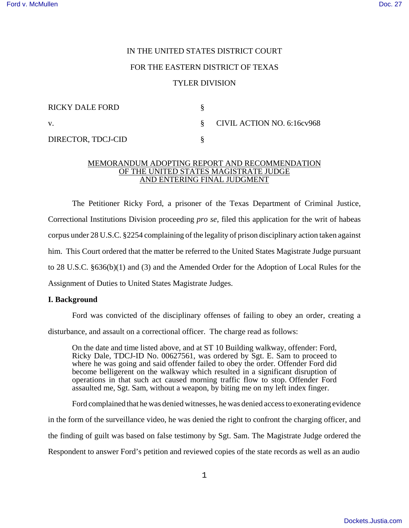# IN THE UNITED STATES DISTRICT COURT FOR THE EASTERN DISTRICT OF TEXAS TYLER DIVISION

| <b>RICKY DALE FORD</b> |                              |
|------------------------|------------------------------|
| V.                     | § CIVIL ACTION NO. 6:16cv968 |
| DIRECTOR, TDCJ-CID     |                              |

# MEMORANDUM ADOPTING REPORT AND RECOMMENDATION OF THE UNITED STATES MAGISTRATE JUDGE AND ENTERING FINAL JUDGMENT

The Petitioner Ricky Ford, a prisoner of the Texas Department of Criminal Justice, Correctional Institutions Division proceeding *pro se*, filed this application for the writ of habeas corpus under 28 U.S.C. §2254 complaining of the legality of prison disciplinary action taken against him. This Court ordered that the matter be referred to the United States Magistrate Judge pursuant to 28 U.S.C. §636(b)(1) and (3) and the Amended Order for the Adoption of Local Rules for the Assignment of Duties to United States Magistrate Judges.

# **I. Background**

Ford was convicted of the disciplinary offenses of failing to obey an order, creating a

disturbance, and assault on a correctional officer. The charge read as follows:

On the date and time listed above, and at ST 10 Building walkway, offender: Ford, Ricky Dale, TDCJ-ID No. 00627561, was ordered by Sgt. E. Sam to proceed to where he was going and said offender failed to obey the order. Offender Ford did become belligerent on the walkway which resulted in a significant disruption of operations in that such act caused morning traffic flow to stop. Offender Ford assaulted me, Sgt. Sam, without a weapon, by biting me on my left index finger.

Ford complained that he was denied witnesses, he was denied accessto exonerating evidence in the form of the surveillance video, he was denied the right to confront the charging officer, and

the finding of guilt was based on false testimony by Sgt. Sam. The Magistrate Judge ordered the

Respondent to answer Ford's petition and reviewed copies of the state records as well as an audio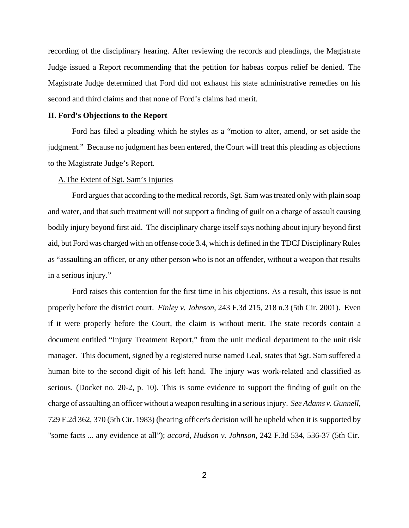recording of the disciplinary hearing. After reviewing the records and pleadings, the Magistrate Judge issued a Report recommending that the petition for habeas corpus relief be denied. The Magistrate Judge determined that Ford did not exhaust his state administrative remedies on his second and third claims and that none of Ford's claims had merit.

## **II. Ford's Objections to the Report**

Ford has filed a pleading which he styles as a "motion to alter, amend, or set aside the judgment." Because no judgment has been entered, the Court will treat this pleading as objections to the Magistrate Judge's Report.

## A.The Extent of Sgt. Sam's Injuries

Ford argues that according to the medical records, Sgt. Sam wastreated only with plain soap and water, and that such treatment will not support a finding of guilt on a charge of assault causing bodily injury beyond first aid. The disciplinary charge itself says nothing about injury beyond first aid, but Ford was charged with an offense code 3.4, which is defined in the TDCJ Disciplinary Rules as "assaulting an officer, or any other person who is not an offender, without a weapon that results in a serious injury."

Ford raises this contention for the first time in his objections. As a result, this issue is not properly before the district court. *Finley v. Johnson*, 243 F.3d 215, 218 n.3 (5th Cir. 2001). Even if it were properly before the Court, the claim is without merit. The state records contain a document entitled "Injury Treatment Report," from the unit medical department to the unit risk manager. This document, signed by a registered nurse named Leal, states that Sgt. Sam suffered a human bite to the second digit of his left hand. The injury was work-related and classified as serious. (Docket no. 20-2, p. 10). This is some evidence to support the finding of guilt on the charge of assaulting an officer without a weapon resulting in a serious injury. *See Adams v. Gunnell*, 729 F.2d 362, 370 (5th Cir. 1983) (hearing officer's decision will be upheld when it is supported by "some facts ... any evidence at all"); *accord*, *Hudson v. Johnson*, 242 F.3d 534, 536-37 (5th Cir.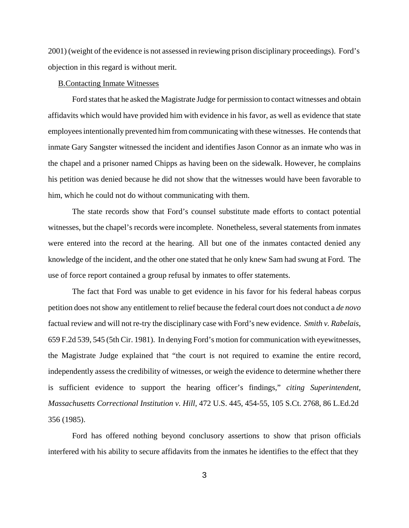2001) (weight of the evidence is not assessed in reviewing prison disciplinary proceedings). Ford's objection in this regard is without merit.

# B.Contacting Inmate Witnesses

Ford states that he asked the Magistrate Judge for permission to contact witnesses and obtain affidavits which would have provided him with evidence in his favor, as well as evidence that state employees intentionally prevented him fromcommunicating with these witnesses. He contends that inmate Gary Sangster witnessed the incident and identifies Jason Connor as an inmate who was in the chapel and a prisoner named Chipps as having been on the sidewalk. However, he complains his petition was denied because he did not show that the witnesses would have been favorable to him, which he could not do without communicating with them.

The state records show that Ford's counsel substitute made efforts to contact potential witnesses, but the chapel's records were incomplete. Nonetheless, several statements from inmates were entered into the record at the hearing. All but one of the inmates contacted denied any knowledge of the incident, and the other one stated that he only knew Sam had swung at Ford. The use of force report contained a group refusal by inmates to offer statements.

The fact that Ford was unable to get evidence in his favor for his federal habeas corpus petition does not show any entitlement to relief because the federal court does not conduct a *de novo*  factual review and will not re-try the disciplinary case with Ford's new evidence. *Smith v. Rabelais*, 659 F.2d 539, 545 (5th Cir. 1981). In denying Ford's motion for communication with eyewitnesses, the Magistrate Judge explained that "the court is not required to examine the entire record, independently assess the credibility of witnesses, or weigh the evidence to determine whether there is sufficient evidence to support the hearing officer's findings," *citing Superintendent, Massachusetts Correctional Institution v. Hill*, 472 U.S. 445, 454-55, 105 S.Ct. 2768, 86 L.Ed.2d 356 (1985).

Ford has offered nothing beyond conclusory assertions to show that prison officials interfered with his ability to secure affidavits from the inmates he identifies to the effect that they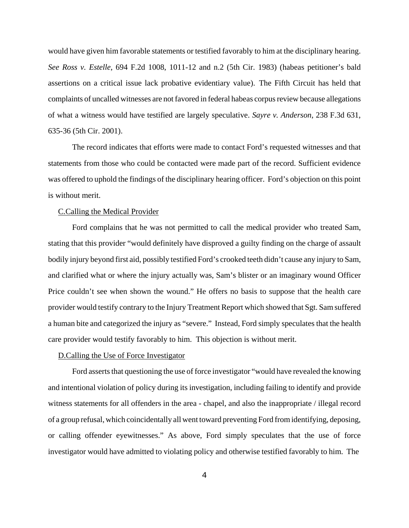would have given him favorable statements or testified favorably to him at the disciplinary hearing. *See Ross v. Estelle*, 694 F.2d 1008, 1011-12 and n.2 (5th Cir. 1983) (habeas petitioner's bald assertions on a critical issue lack probative evidentiary value). The Fifth Circuit has held that complaints of uncalled witnesses are not favored in federal habeas corpus review because allegations of what a witness would have testified are largely speculative. *Sayre v. Anderson*, 238 F.3d 631, 635-36 (5th Cir. 2001).

The record indicates that efforts were made to contact Ford's requested witnesses and that statements from those who could be contacted were made part of the record. Sufficient evidence was offered to uphold the findings of the disciplinary hearing officer. Ford's objection on this point is without merit.

#### C.Calling the Medical Provider

Ford complains that he was not permitted to call the medical provider who treated Sam, stating that this provider "would definitely have disproved a guilty finding on the charge of assault bodily injury beyond first aid, possibly testified Ford's crooked teeth didn't cause any injury to Sam, and clarified what or where the injury actually was, Sam's blister or an imaginary wound Officer Price couldn't see when shown the wound." He offers no basis to suppose that the health care provider would testify contrary to the Injury Treatment Report which showed that Sgt. Sam suffered a human bite and categorized the injury as "severe." Instead, Ford simply speculates that the health care provider would testify favorably to him. This objection is without merit.

## D.Calling the Use of Force Investigator

Ford asserts that questioning the use of force investigator "would have revealed the knowing and intentional violation of policy during its investigation, including failing to identify and provide witness statements for all offenders in the area - chapel, and also the inappropriate / illegal record of a group refusal, which coincidentally all went toward preventing Ford from identifying, deposing, or calling offender eyewitnesses." As above, Ford simply speculates that the use of force investigator would have admitted to violating policy and otherwise testified favorably to him. The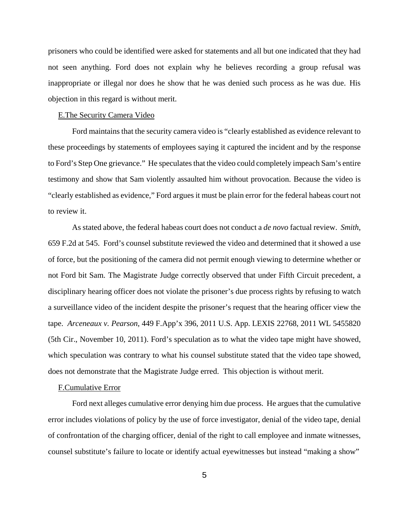prisoners who could be identified were asked for statements and all but one indicated that they had not seen anything. Ford does not explain why he believes recording a group refusal was inappropriate or illegal nor does he show that he was denied such process as he was due. His objection in this regard is without merit.

## E.The Security Camera Video

Ford maintains that the security camera video is "clearly established as evidence relevant to these proceedings by statements of employees saying it captured the incident and by the response to Ford's Step One grievance." He speculates that the video could completely impeach Sam's entire testimony and show that Sam violently assaulted him without provocation. Because the video is "clearly established as evidence," Ford argues it must be plain error for the federal habeas court not to review it.

As stated above, the federal habeas court does not conduct a *de novo* factual review. *Smith*, 659 F.2d at 545. Ford's counsel substitute reviewed the video and determined that it showed a use of force, but the positioning of the camera did not permit enough viewing to determine whether or not Ford bit Sam. The Magistrate Judge correctly observed that under Fifth Circuit precedent, a disciplinary hearing officer does not violate the prisoner's due process rights by refusing to watch a surveillance video of the incident despite the prisoner's request that the hearing officer view the tape. *Arceneaux v. Pearson*, 449 F.App'x 396, 2011 U.S. App. LEXIS 22768, 2011 WL 5455820 (5th Cir., November 10, 2011). Ford's speculation as to what the video tape might have showed, which speculation was contrary to what his counsel substitute stated that the video tape showed, does not demonstrate that the Magistrate Judge erred. This objection is without merit.

#### F.Cumulative Error

Ford next alleges cumulative error denying him due process. He argues that the cumulative error includes violations of policy by the use of force investigator, denial of the video tape, denial of confrontation of the charging officer, denial of the right to call employee and inmate witnesses, counsel substitute's failure to locate or identify actual eyewitnesses but instead "making a show"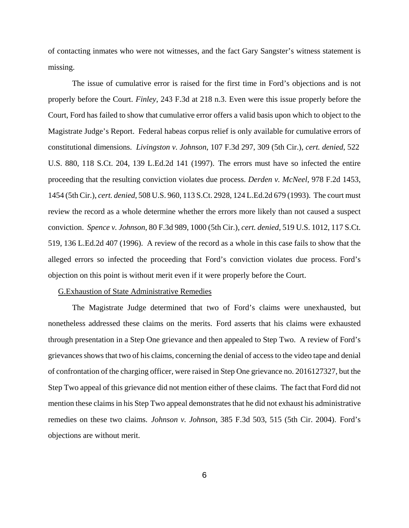of contacting inmates who were not witnesses, and the fact Gary Sangster's witness statement is missing.

The issue of cumulative error is raised for the first time in Ford's objections and is not properly before the Court. *Finley*, 243 F.3d at 218 n.3. Even were this issue properly before the Court, Ford has failed to show that cumulative error offers a valid basis upon which to object to the Magistrate Judge's Report. Federal habeas corpus relief is only available for cumulative errors of constitutional dimensions. *Livingston v. Johnson*, 107 F.3d 297, 309 (5th Cir.), *cert. denied*, 522 U.S. 880, 118 S.Ct. 204, 139 L.Ed.2d 141 (1997). The errors must have so infected the entire proceeding that the resulting conviction violates due process. *Derden v. McNeel*, 978 F.2d 1453, 1454 (5th Cir.), *cert. denied*, 508 U.S. 960, 113 S.Ct. 2928, 124 L.Ed.2d 679 (1993). The court must review the record as a whole determine whether the errors more likely than not caused a suspect conviction. *Spence v. Johnson*, 80 F.3d 989, 1000 (5th Cir.), *cert. denied*, 519 U.S. 1012, 117 S.Ct. 519, 136 L.Ed.2d 407 (1996). A review of the record as a whole in this case fails to show that the alleged errors so infected the proceeding that Ford's conviction violates due process. Ford's objection on this point is without merit even if it were properly before the Court.

#### G.Exhaustion of State Administrative Remedies

The Magistrate Judge determined that two of Ford's claims were unexhausted, but nonetheless addressed these claims on the merits. Ford asserts that his claims were exhausted through presentation in a Step One grievance and then appealed to Step Two. A review of Ford's grievances shows that two of his claims, concerning the denial of accessto the video tape and denial of confrontation of the charging officer, were raised in Step One grievance no. 2016127327, but the Step Two appeal of this grievance did not mention either of these claims. The fact that Ford did not mention these claims in his Step Two appeal demonstrates that he did not exhaust his administrative remedies on these two claims. *Johnson v. Johnson*, 385 F.3d 503, 515 (5th Cir. 2004). Ford's objections are without merit.

6